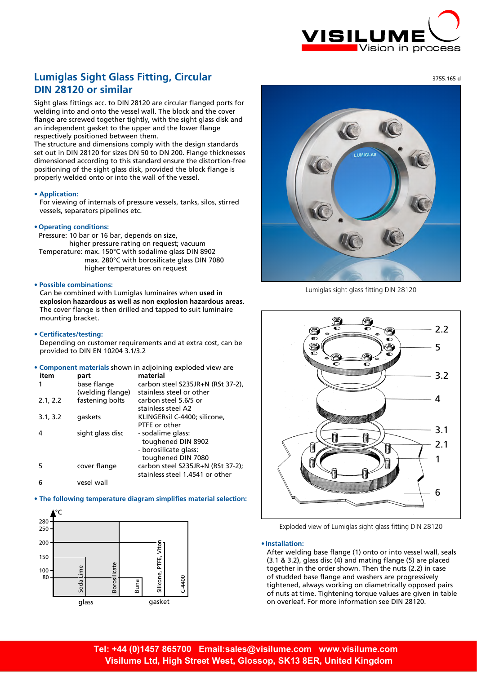

#### 3755.165 d

# **Lumiglas Sight Glass Fitting, Circular DIN 28120 or similar**

Sight glass fittings acc. to DIN 28120 are circular flanged ports for welding into and onto the vessel wall. The block and the cover flange are screwed together tightly, with the sight glass disk and an independent gasket to the upper and the lower flange respectively positioned between them.

The structure and dimensions comply with the design standards set out in DIN 28120 for sizes DN 50 to DN 200. Flange thicknesses dimensioned according to this standard ensure the distortion-free positioning of the sight glass disk, provided the block flange is properly welded onto or into the wall of the vessel.

#### **• Application:**

For viewing of internals of pressure vessels, tanks, silos, stirred vessels, separators pipelines etc.

#### **• Operating conditions:**

Pressure: 10 bar or 16 bar, depends on size, higher pressure rating on request; vacuum Temperature: max. 150°C with sodalime glass DIN 8902 max. 280°C with borosilicate glass DIN 7080 higher temperatures on request

## **• Possible combinations:**

Can be combined with Lumiglas luminaires when **used in explosion hazardous as well as non explosion hazardous areas**. The cover flange is then drilled and tapped to suit luminaire mounting bracket.

#### **• Certificates/testing:**

Depending on customer requirements and at extra cost, can be provided to DIN EN 10204 3.1/3.2

**• Component materials** shown in adjoining exploded view are

| item     | part              | material                          |  |  |  |
|----------|-------------------|-----------------------------------|--|--|--|
|          | base flange       | carbon steel S235JR+N (RSt 37-2), |  |  |  |
|          | (welding flange)  | stainless steel or other          |  |  |  |
| 2.1, 2.2 | fastening bolts   | carbon steel 5.6/5 or             |  |  |  |
|          |                   | stainless steel A2                |  |  |  |
| 3.1, 3.2 | gaskets           | KLINGERsil C-4400; silicone,      |  |  |  |
|          |                   | PTFE or other                     |  |  |  |
| 4        | sight glass disc  | - sodalime glass:                 |  |  |  |
|          |                   | toughened DIN 8902                |  |  |  |
|          |                   | - borosilicate glass:             |  |  |  |
|          |                   | toughened DIN 7080                |  |  |  |
| 5        | cover flange      | carbon steel S235JR+N (RSt 37-2); |  |  |  |
|          |                   | stainless steel 1.4541 or other   |  |  |  |
|          | اللوياء والواجوري |                                   |  |  |  |

### 6 vesel wall

# **• The following temperature diagram simplifies material selection:**





Lumiglas sight glass fitting DIN 28120



Exploded view of Lumiglas sight glass fitting DIN 28120

#### **• Installation:**

After welding base flange (1) onto or into vessel wall, seals (3.1 & 3.2), glass disc (4) and mating flange (5) are placed together in the order shown. Then the nuts (2.2) in case of studded base flange and washers are progressively tightened, always working on diametrically opposed pairs of nuts at time. Tightening torque values are given in table on overleaf. For more information see DIN 28120.